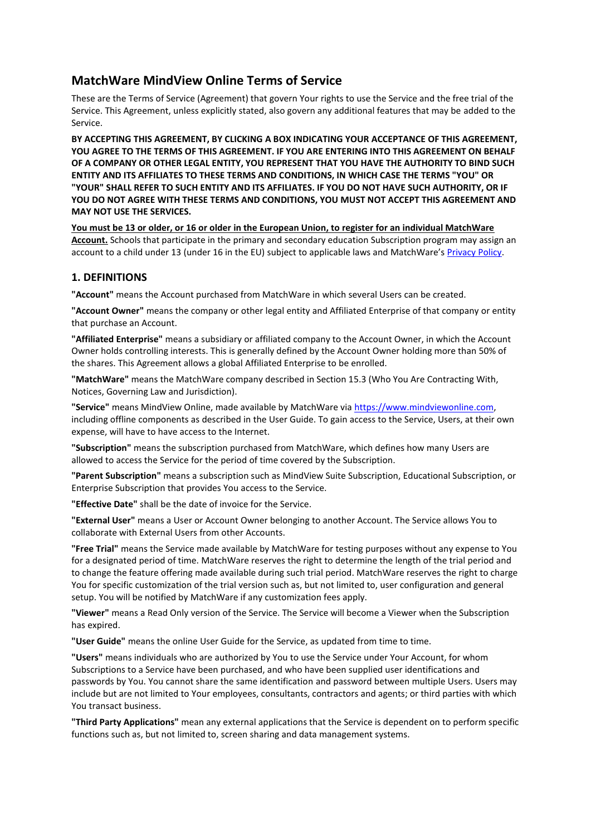# **MatchWare MindView Online Terms of Service**

These are the Terms of Service (Agreement) that govern Your rights to use the Service and the free trial of the Service. This Agreement, unless explicitly stated, also govern any additional features that may be added to the Service.

**BY ACCEPTING THIS AGREEMENT, BY CLICKING A BOX INDICATING YOUR ACCEPTANCE OF THIS AGREEMENT, YOU AGREE TO THE TERMS OF THIS AGREEMENT. IF YOU ARE ENTERING INTO THIS AGREEMENT ON BEHALF OF A COMPANY OR OTHER LEGAL ENTITY, YOU REPRESENT THAT YOU HAVE THE AUTHORITY TO BIND SUCH ENTITY AND ITS AFFILIATES TO THESE TERMS AND CONDITIONS, IN WHICH CASE THE TERMS "YOU" OR "YOUR" SHALL REFER TO SUCH ENTITY AND ITS AFFILIATES. IF YOU DO NOT HAVE SUCH AUTHORITY, OR IF YOU DO NOT AGREE WITH THESE TERMS AND CONDITIONS, YOU MUST NOT ACCEPT THIS AGREEMENT AND MAY NOT USE THE SERVICES.**

**You must be 13 or older, or 16 or older in the European Union, to register for an individual MatchWare Account.** Schools that participate in the primary and secondary education Subscription program may assign an account to a child under 13 (under 16 in the EU) subject to applicable laws and MatchWare's [Privacy Policy.](https://link.matchware.com/privacy_policy)

## **1. DEFINITIONS**

**"Account"** means the Account purchased from MatchWare in which several Users can be created.

**"Account Owner"** means the company or other legal entity and Affiliated Enterprise of that company or entity that purchase an Account.

**"Affiliated Enterprise"** means a subsidiary or affiliated company to the Account Owner, in which the Account Owner holds controlling interests. This is generally defined by the Account Owner holding more than 50% of the shares. This Agreement allows a global Affiliated Enterprise to be enrolled.

**"MatchWare"** means the MatchWare company described in Section 15.3 (Who You Are Contracting With, Notices, Governing Law and Jurisdiction).

**"Service"** means MindView Online, made available by MatchWare via [https://www.mindviewonline.com,](https://www.mindviewonline.com/) including offline components as described in the User Guide. To gain access to the Service, Users, at their own expense, will have to have access to the Internet.

**"Subscription"** means the subscription purchased from MatchWare, which defines how many Users are allowed to access the Service for the period of time covered by the Subscription.

**"Parent Subscription"** means a subscription such as MindView Suite Subscription, Educational Subscription, or Enterprise Subscription that provides You access to the Service.

**"Effective Date"** shall be the date of invoice for the Service.

**"External User"** means a User or Account Owner belonging to another Account. The Service allows You to collaborate with External Users from other Accounts.

**"Free Trial"** means the Service made available by MatchWare for testing purposes without any expense to You for a designated period of time. MatchWare reserves the right to determine the length of the trial period and to change the feature offering made available during such trial period. MatchWare reserves the right to charge You for specific customization of the trial version such as, but not limited to, user configuration and general setup. You will be notified by MatchWare if any customization fees apply.

**"Viewer"** means a Read Only version of the Service. The Service will become a Viewer when the Subscription has expired.

**"User Guide"** means the online User Guide for the Service, as updated from time to time.

**"Users"** means individuals who are authorized by You to use the Service under Your Account, for whom Subscriptions to a Service have been purchased, and who have been supplied user identifications and passwords by You. You cannot share the same identification and password between multiple Users. Users may include but are not limited to Your employees, consultants, contractors and agents; or third parties with which You transact business.

**"Third Party Applications"** mean any external applications that the Service is dependent on to perform specific functions such as, but not limited to, screen sharing and data management systems.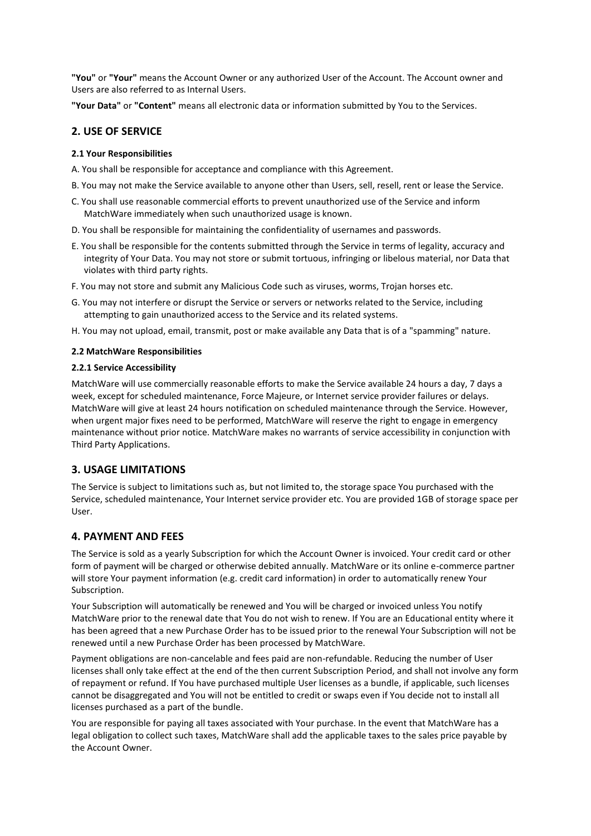**"You"** or **"Your"** means the Account Owner or any authorized User of the Account. The Account owner and Users are also referred to as Internal Users.

**"Your Data"** or **"Content"** means all electronic data or information submitted by You to the Services.

## **2. USE OF SERVICE**

### **2.1 Your Responsibilities**

- A. You shall be responsible for acceptance and compliance with this Agreement.
- B. You may not make the Service available to anyone other than Users, sell, resell, rent or lease the Service.
- C. You shall use reasonable commercial efforts to prevent unauthorized use of the Service and inform MatchWare immediately when such unauthorized usage is known.
- D. You shall be responsible for maintaining the confidentiality of usernames and passwords.
- E. You shall be responsible for the contents submitted through the Service in terms of legality, accuracy and integrity of Your Data. You may not store or submit tortuous, infringing or libelous material, nor Data that violates with third party rights.
- F. You may not store and submit any Malicious Code such as viruses, worms, Trojan horses etc.
- G. You may not interfere or disrupt the Service or servers or networks related to the Service, including attempting to gain unauthorized access to the Service and its related systems.
- H. You may not upload, email, transmit, post or make available any Data that is of a "spamming" nature.

#### **2.2 MatchWare Responsibilities**

#### **2.2.1 Service Accessibility**

MatchWare will use commercially reasonable efforts to make the Service available 24 hours a day, 7 days a week, except for scheduled maintenance, Force Majeure, or Internet service provider failures or delays. MatchWare will give at least 24 hours notification on scheduled maintenance through the Service. However, when urgent major fixes need to be performed, MatchWare will reserve the right to engage in emergency maintenance without prior notice. MatchWare makes no warrants of service accessibility in conjunction with Third Party Applications.

## **3. USAGE LIMITATIONS**

The Service is subject to limitations such as, but not limited to, the storage space You purchased with the Service, scheduled maintenance, Your Internet service provider etc. You are provided 1GB of storage space per User.

## **4. PAYMENT AND FEES**

The Service is sold as a yearly Subscription for which the Account Owner is invoiced. Your credit card or other form of payment will be charged or otherwise debited annually. MatchWare or its online e-commerce partner will store Your payment information (e.g. credit card information) in order to automatically renew Your Subscription.

Your Subscription will automatically be renewed and You will be charged or invoiced unless You notify MatchWare prior to the renewal date that You do not wish to renew. If You are an Educational entity where it has been agreed that a new Purchase Order has to be issued prior to the renewal Your Subscription will not be renewed until a new Purchase Order has been processed by MatchWare.

Payment obligations are non-cancelable and fees paid are non-refundable. Reducing the number of User licenses shall only take effect at the end of the then current Subscription Period, and shall not involve any form of repayment or refund. If You have purchased multiple User licenses as a bundle, if applicable, such licenses cannot be disaggregated and You will not be entitled to credit or swaps even if You decide not to install all licenses purchased as a part of the bundle.

You are responsible for paying all taxes associated with Your purchase. In the event that MatchWare has a legal obligation to collect such taxes, MatchWare shall add the applicable taxes to the sales price payable by the Account Owner.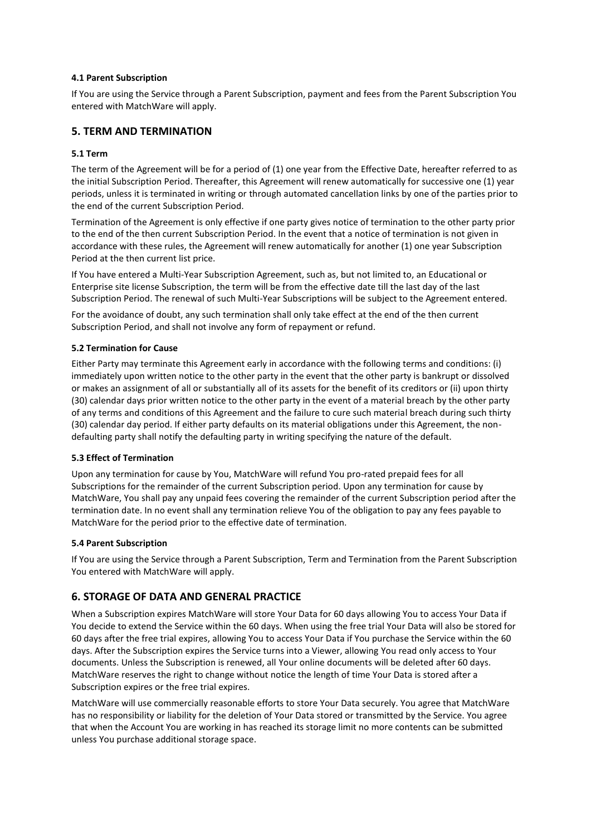#### **4.1 Parent Subscription**

If You are using the Service through a Parent Subscription, payment and fees from the Parent Subscription You entered with MatchWare will apply.

## **5. TERM AND TERMINATION**

### **5.1 Term**

The term of the Agreement will be for a period of (1) one year from the Effective Date, hereafter referred to as the initial Subscription Period. Thereafter, this Agreement will renew automatically for successive one (1) year periods, unless it is terminated in writing or through automated cancellation links by one of the parties prior to the end of the current Subscription Period.

Termination of the Agreement is only effective if one party gives notice of termination to the other party prior to the end of the then current Subscription Period. In the event that a notice of termination is not given in accordance with these rules, the Agreement will renew automatically for another (1) one year Subscription Period at the then current list price.

If You have entered a Multi-Year Subscription Agreement, such as, but not limited to, an Educational or Enterprise site license Subscription, the term will be from the effective date till the last day of the last Subscription Period. The renewal of such Multi-Year Subscriptions will be subject to the Agreement entered.

For the avoidance of doubt, any such termination shall only take effect at the end of the then current Subscription Period, and shall not involve any form of repayment or refund.

### **5.2 Termination for Cause**

Either Party may terminate this Agreement early in accordance with the following terms and conditions: (i) immediately upon written notice to the other party in the event that the other party is bankrupt or dissolved or makes an assignment of all or substantially all of its assets for the benefit of its creditors or (ii) upon thirty (30) calendar days prior written notice to the other party in the event of a material breach by the other party of any terms and conditions of this Agreement and the failure to cure such material breach during such thirty (30) calendar day period. If either party defaults on its material obligations under this Agreement, the nondefaulting party shall notify the defaulting party in writing specifying the nature of the default.

#### **5.3 Effect of Termination**

Upon any termination for cause by You, MatchWare will refund You pro-rated prepaid fees for all Subscriptions for the remainder of the current Subscription period. Upon any termination for cause by MatchWare, You shall pay any unpaid fees covering the remainder of the current Subscription period after the termination date. In no event shall any termination relieve You of the obligation to pay any fees payable to MatchWare for the period prior to the effective date of termination.

#### **5.4 Parent Subscription**

If You are using the Service through a Parent Subscription, Term and Termination from the Parent Subscription You entered with MatchWare will apply.

## **6. STORAGE OF DATA AND GENERAL PRACTICE**

When a Subscription expires MatchWare will store Your Data for 60 days allowing You to access Your Data if You decide to extend the Service within the 60 days. When using the free trial Your Data will also be stored for 60 days after the free trial expires, allowing You to access Your Data if You purchase the Service within the 60 days. After the Subscription expires the Service turns into a Viewer, allowing You read only access to Your documents. Unless the Subscription is renewed, all Your online documents will be deleted after 60 days. MatchWare reserves the right to change without notice the length of time Your Data is stored after a Subscription expires or the free trial expires.

MatchWare will use commercially reasonable efforts to store Your Data securely. You agree that MatchWare has no responsibility or liability for the deletion of Your Data stored or transmitted by the Service. You agree that when the Account You are working in has reached its storage limit no more contents can be submitted unless You purchase additional storage space.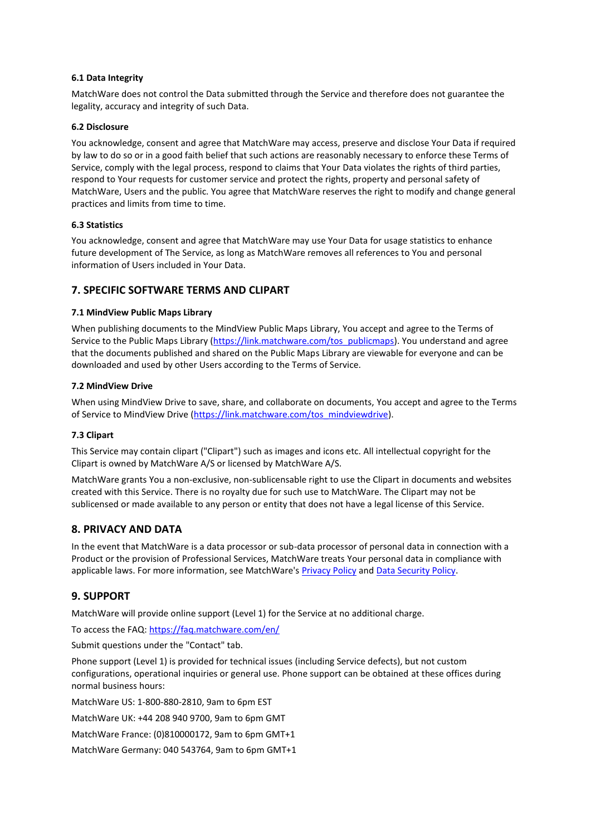#### **6.1 Data Integrity**

MatchWare does not control the Data submitted through the Service and therefore does not guarantee the legality, accuracy and integrity of such Data.

#### **6.2 Disclosure**

You acknowledge, consent and agree that MatchWare may access, preserve and disclose Your Data if required by law to do so or in a good faith belief that such actions are reasonably necessary to enforce these Terms of Service, comply with the legal process, respond to claims that Your Data violates the rights of third parties, respond to Your requests for customer service and protect the rights, property and personal safety of MatchWare, Users and the public. You agree that MatchWare reserves the right to modify and change general practices and limits from time to time.

### **6.3 Statistics**

You acknowledge, consent and agree that MatchWare may use Your Data for usage statistics to enhance future development of The Service, as long as MatchWare removes all references to You and personal information of Users included in Your Data.

## **7. SPECIFIC SOFTWARE TERMS AND CLIPART**

### **7.1 MindView Public Maps Library**

When publishing documents to the MindView Public Maps Library, You accept and agree to the Terms of Service to the Public Maps Library [\(https://link.matchware.com/tos\\_publicmaps\)](https://link.matchware.com/tos_publicmaps). You understand and agree that the documents published and shared on the Public Maps Library are viewable for everyone and can be downloaded and used by other Users according to the Terms of Service.

### **7.2 MindView Drive**

When using MindView Drive to save, share, and collaborate on documents, You accept and agree to the Terms of Service to MindView Drive [\(https://link.matchware.com/tos\\_mindviewdrive\)](https://link.matchware.com/tos_mindviewdrive).

#### **7.3 Clipart**

This Service may contain clipart ("Clipart") such as images and icons etc. All intellectual copyright for the Clipart is owned by MatchWare A/S or licensed by MatchWare A/S.

MatchWare grants You a non-exclusive, non-sublicensable right to use the Clipart in documents and websites created with this Service. There is no royalty due for such use to MatchWare. The Clipart may not be sublicensed or made available to any person or entity that does not have a legal license of this Service.

## **8. PRIVACY AND DATA**

In the event that MatchWare is a data processor or sub-data processor of personal data in connection with a Product or the provision of Professional Services, MatchWare treats Your personal data in compliance with applicable laws. For more information, see MatchWare's [Privacy Policy](https://link.matchware.com/privacy_policy) and [Data Security Policy.](https://link.matchware.com/data_security_policy)

## **9. SUPPORT**

MatchWare will provide online support (Level 1) for the Service at no additional charge.

To access the FAQ: <https://faq.matchware.com/en/>

Submit questions under the "Contact" tab.

Phone support (Level 1) is provided for technical issues (including Service defects), but not custom configurations, operational inquiries or general use. Phone support can be obtained at these offices during normal business hours:

MatchWare US: 1-800-880-2810, 9am to 6pm EST

MatchWare UK: +44 208 940 9700, 9am to 6pm GMT

MatchWare France: (0)810000172, 9am to 6pm GMT+1

MatchWare Germany: 040 543764, 9am to 6pm GMT+1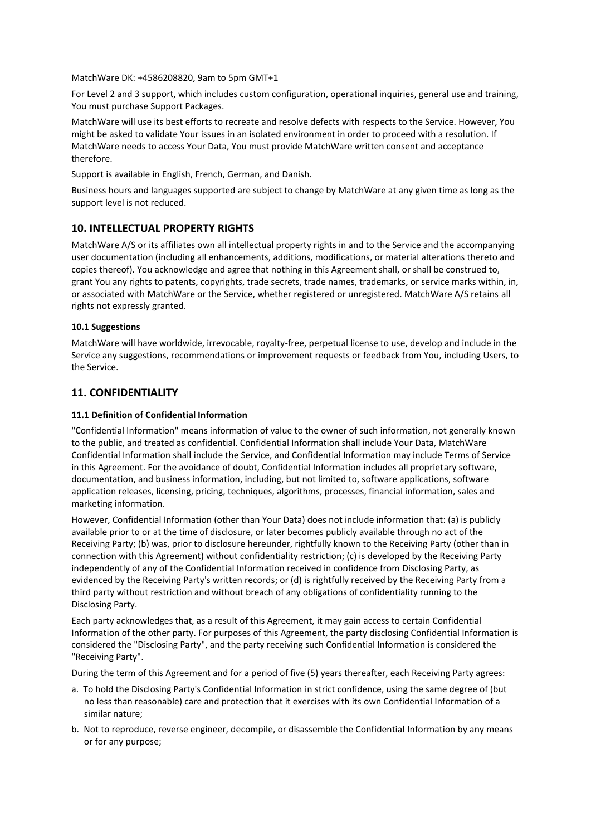MatchWare DK: +4586208820, 9am to 5pm GMT+1

For Level 2 and 3 support, which includes custom configuration, operational inquiries, general use and training, You must purchase Support Packages.

MatchWare will use its best efforts to recreate and resolve defects with respects to the Service. However, You might be asked to validate Your issues in an isolated environment in order to proceed with a resolution. If MatchWare needs to access Your Data, You must provide MatchWare written consent and acceptance therefore.

Support is available in English, French, German, and Danish.

Business hours and languages supported are subject to change by MatchWare at any given time as long as the support level is not reduced.

## **10. INTELLECTUAL PROPERTY RIGHTS**

MatchWare A/S or its affiliates own all intellectual property rights in and to the Service and the accompanying user documentation (including all enhancements, additions, modifications, or material alterations thereto and copies thereof). You acknowledge and agree that nothing in this Agreement shall, or shall be construed to, grant You any rights to patents, copyrights, trade secrets, trade names, trademarks, or service marks within, in, or associated with MatchWare or the Service, whether registered or unregistered. MatchWare A/S retains all rights not expressly granted.

#### **10.1 Suggestions**

MatchWare will have worldwide, irrevocable, royalty-free, perpetual license to use, develop and include in the Service any suggestions, recommendations or improvement requests or feedback from You, including Users, to the Service.

## **11. CONFIDENTIALITY**

#### **11.1 Definition of Confidential Information**

"Confidential Information" means information of value to the owner of such information, not generally known to the public, and treated as confidential. Confidential Information shall include Your Data, MatchWare Confidential Information shall include the Service, and Confidential Information may include Terms of Service in this Agreement. For the avoidance of doubt, Confidential Information includes all proprietary software, documentation, and business information, including, but not limited to, software applications, software application releases, licensing, pricing, techniques, algorithms, processes, financial information, sales and marketing information.

However, Confidential Information (other than Your Data) does not include information that: (a) is publicly available prior to or at the time of disclosure, or later becomes publicly available through no act of the Receiving Party; (b) was, prior to disclosure hereunder, rightfully known to the Receiving Party (other than in connection with this Agreement) without confidentiality restriction; (c) is developed by the Receiving Party independently of any of the Confidential Information received in confidence from Disclosing Party, as evidenced by the Receiving Party's written records; or (d) is rightfully received by the Receiving Party from a third party without restriction and without breach of any obligations of confidentiality running to the Disclosing Party.

Each party acknowledges that, as a result of this Agreement, it may gain access to certain Confidential Information of the other party. For purposes of this Agreement, the party disclosing Confidential Information is considered the "Disclosing Party", and the party receiving such Confidential Information is considered the "Receiving Party".

During the term of this Agreement and for a period of five (5) years thereafter, each Receiving Party agrees:

- a. To hold the Disclosing Party's Confidential Information in strict confidence, using the same degree of (but no less than reasonable) care and protection that it exercises with its own Confidential Information of a similar nature;
- b. Not to reproduce, reverse engineer, decompile, or disassemble the Confidential Information by any means or for any purpose;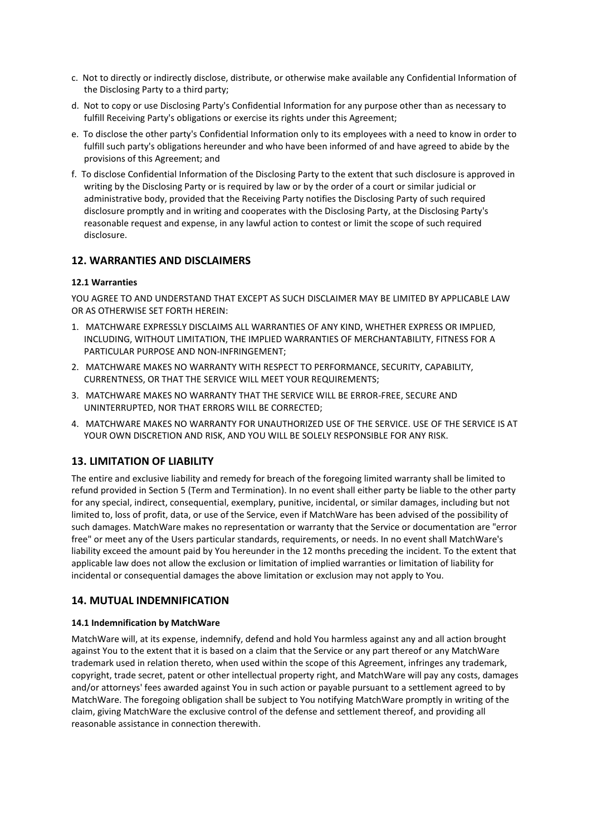- c. Not to directly or indirectly disclose, distribute, or otherwise make available any Confidential Information of the Disclosing Party to a third party;
- d. Not to copy or use Disclosing Party's Confidential Information for any purpose other than as necessary to fulfill Receiving Party's obligations or exercise its rights under this Agreement;
- e. To disclose the other party's Confidential Information only to its employees with a need to know in order to fulfill such party's obligations hereunder and who have been informed of and have agreed to abide by the provisions of this Agreement; and
- f. To disclose Confidential Information of the Disclosing Party to the extent that such disclosure is approved in writing by the Disclosing Party or is required by law or by the order of a court or similar judicial or administrative body, provided that the Receiving Party notifies the Disclosing Party of such required disclosure promptly and in writing and cooperates with the Disclosing Party, at the Disclosing Party's reasonable request and expense, in any lawful action to contest or limit the scope of such required disclosure.

## **12. WARRANTIES AND DISCLAIMERS**

### **12.1 Warranties**

YOU AGREE TO AND UNDERSTAND THAT EXCEPT AS SUCH DISCLAIMER MAY BE LIMITED BY APPLICABLE LAW OR AS OTHERWISE SET FORTH HEREIN:

- 1. MATCHWARE EXPRESSLY DISCLAIMS ALL WARRANTIES OF ANY KIND, WHETHER EXPRESS OR IMPLIED, INCLUDING, WITHOUT LIMITATION, THE IMPLIED WARRANTIES OF MERCHANTABILITY, FITNESS FOR A PARTICULAR PURPOSE AND NON-INFRINGEMENT;
- 2. MATCHWARE MAKES NO WARRANTY WITH RESPECT TO PERFORMANCE, SECURITY, CAPABILITY, CURRENTNESS, OR THAT THE SERVICE WILL MEET YOUR REQUIREMENTS;
- 3. MATCHWARE MAKES NO WARRANTY THAT THE SERVICE WILL BE ERROR-FREE, SECURE AND UNINTERRUPTED, NOR THAT ERRORS WILL BE CORRECTED;
- 4. MATCHWARE MAKES NO WARRANTY FOR UNAUTHORIZED USE OF THE SERVICE. USE OF THE SERVICE IS AT YOUR OWN DISCRETION AND RISK, AND YOU WILL BE SOLELY RESPONSIBLE FOR ANY RISK.

## **13. LIMITATION OF LIABILITY**

The entire and exclusive liability and remedy for breach of the foregoing limited warranty shall be limited to refund provided in Section 5 (Term and Termination). In no event shall either party be liable to the other party for any special, indirect, consequential, exemplary, punitive, incidental, or similar damages, including but not limited to, loss of profit, data, or use of the Service, even if MatchWare has been advised of the possibility of such damages. MatchWare makes no representation or warranty that the Service or documentation are "error free" or meet any of the Users particular standards, requirements, or needs. In no event shall MatchWare's liability exceed the amount paid by You hereunder in the 12 months preceding the incident. To the extent that applicable law does not allow the exclusion or limitation of implied warranties or limitation of liability for incidental or consequential damages the above limitation or exclusion may not apply to You.

## **14. MUTUAL INDEMNIFICATION**

#### **14.1 Indemnification by MatchWare**

MatchWare will, at its expense, indemnify, defend and hold You harmless against any and all action brought against You to the extent that it is based on a claim that the Service or any part thereof or any MatchWare trademark used in relation thereto, when used within the scope of this Agreement, infringes any trademark, copyright, trade secret, patent or other intellectual property right, and MatchWare will pay any costs, damages and/or attorneys' fees awarded against You in such action or payable pursuant to a settlement agreed to by MatchWare. The foregoing obligation shall be subject to You notifying MatchWare promptly in writing of the claim, giving MatchWare the exclusive control of the defense and settlement thereof, and providing all reasonable assistance in connection therewith.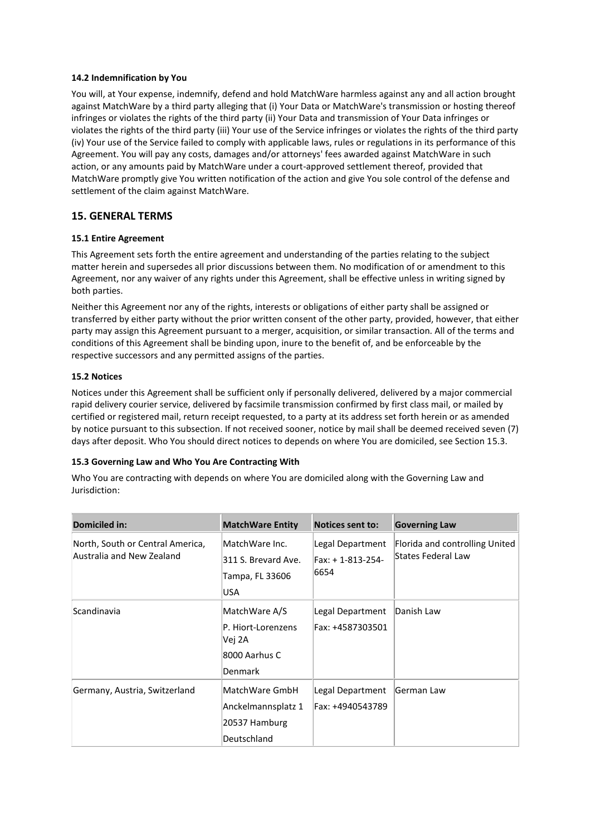### **14.2 Indemnification by You**

You will, at Your expense, indemnify, defend and hold MatchWare harmless against any and all action brought against MatchWare by a third party alleging that (i) Your Data or MatchWare's transmission or hosting thereof infringes or violates the rights of the third party (ii) Your Data and transmission of Your Data infringes or violates the rights of the third party (iii) Your use of the Service infringes or violates the rights of the third party (iv) Your use of the Service failed to comply with applicable laws, rules or regulations in its performance of this Agreement. You will pay any costs, damages and/or attorneys' fees awarded against MatchWare in such action, or any amounts paid by MatchWare under a court-approved settlement thereof, provided that MatchWare promptly give You written notification of the action and give You sole control of the defense and settlement of the claim against MatchWare.

## **15. GENERAL TERMS**

## **15.1 Entire Agreement**

This Agreement sets forth the entire agreement and understanding of the parties relating to the subject matter herein and supersedes all prior discussions between them. No modification of or amendment to this Agreement, nor any waiver of any rights under this Agreement, shall be effective unless in writing signed by both parties.

Neither this Agreement nor any of the rights, interests or obligations of either party shall be assigned or transferred by either party without the prior written consent of the other party, provided, however, that either party may assign this Agreement pursuant to a merger, acquisition, or similar transaction. All of the terms and conditions of this Agreement shall be binding upon, inure to the benefit of, and be enforceable by the respective successors and any permitted assigns of the parties.

## **15.2 Notices**

Notices under this Agreement shall be sufficient only if personally delivered, delivered by a major commercial rapid delivery courier service, delivered by facsimile transmission confirmed by first class mail, or mailed by certified or registered mail, return receipt requested, to a party at its address set forth herein or as amended by notice pursuant to this subsection. If not received sooner, notice by mail shall be deemed received seven (7) days after deposit. Who You should direct notices to depends on where You are domiciled, see Section 15.3.

## **15.3 Governing Law and Who You Are Contracting With**

Who You are contracting with depends on where You are domiciled along with the Governing Law and Jurisdiction:

| Domiciled in:                                                 | <b>MatchWare Entity</b>                                                   | <b>Notices sent to:</b>                      | <b>Governing Law</b>                                 |
|---------------------------------------------------------------|---------------------------------------------------------------------------|----------------------------------------------|------------------------------------------------------|
| North, South or Central America,<br>Australia and New Zealand | MatchWare Inc.<br>311 S. Brevard Ave.<br>Tampa, FL 33606<br>USA           | Legal Department<br>Fax: +1-813-254-<br>6654 | Florida and controlling United<br>States Federal Law |
| Scandinavia                                                   | MatchWare A/S<br>P. Hiort-Lorenzens<br>Vej 2A<br>8000 Aarhus C<br>Denmark | Legal Department<br>Fax: +4587303501         | Danish Law                                           |
| Germany, Austria, Switzerland                                 | MatchWare GmbH<br>Anckelmannsplatz 1<br>20537 Hamburg<br>Deutschland      | Legal Department<br>Fax: +4940543789         | German Law                                           |